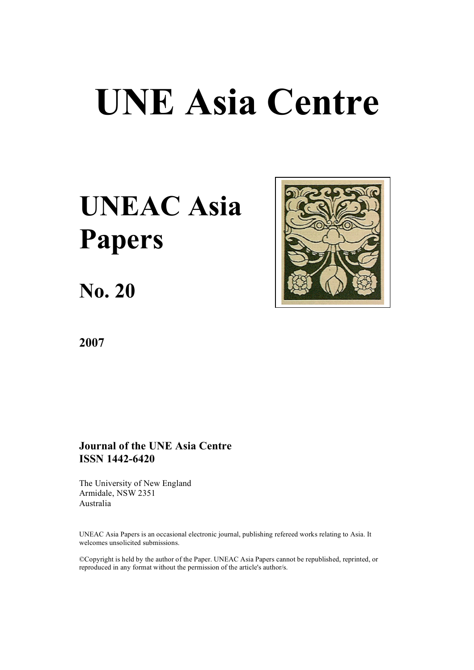# **UNE Asia Centre**

# **UNEAC Asia Papers**

**No. 20**



**2007**

# **Journal of the UNE Asia Centre ISSN 1442-6420**

The University of New England Armidale, NSW 2351 Australia

UNEAC Asia Papers is an occasional electronic journal, publishing refereed works relating to Asia. It welcomes unsolicited submissions.

©Copyright is held by the author of the Paper. UNEAC Asia Papers cannot be republished, reprinted, or reproduced in any format without the permission of the article's author/s.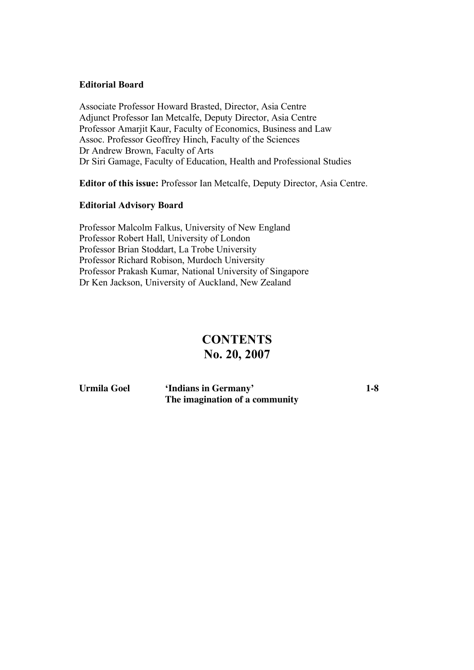# **Editorial Board**

Associate Professor Howard Brasted, Director, Asia Centre Adjunct Professor Ian Metcalfe, Deputy Director, Asia Centre Professor Amarjit Kaur, Faculty of Economics, Business and Law Assoc. Professor Geoffrey Hinch, Faculty of the Sciences Dr Andrew Brown, Faculty of Arts Dr Siri Gamage, Faculty of Education, Health and Professional Studies

**Editor of this issue:** Professor Ian Metcalfe, Deputy Director, Asia Centre.

# **Editorial Advisory Board**

Professor Malcolm Falkus, University of New England Professor Robert Hall, University of London Professor Brian Stoddart, La Trobe University Professor Richard Robison, Murdoch University Professor Prakash Kumar, National University of Singapore Dr Ken Jackson, University of Auckland, New Zealand

# **CONTENTS No. 20, 2007**

**Urmila Goel 'Indians in Germany' 1-8 The imagination of a community**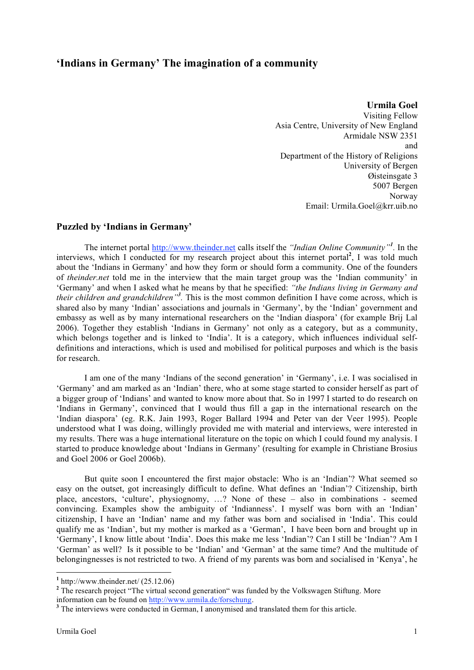# **'Indians in Germany' The imagination of a community**

**Urmila Goel** Visiting Fellow Asia Centre, University of New England Armidale NSW 2351 and Department of the History of Religions University of Bergen Øisteinsgate 3 5007 Bergen Norway Email: Urmila.Goel@krr.uib.no

## **Puzzled by 'Indians in Germany'**

The internet portal http://www.theinder.net calls itself the *"Indian Online Community"<sup>1</sup> .* In the interviews, which I conducted for my research project about this internet portal**<sup>2</sup>** , I was told much about the 'Indians in Germany' and how they form or should form a community. One of the founders of *theinder.net* told me in the interview that the main target group was the 'Indian community' in 'Germany' and when I asked what he means by that he specified: *"the Indians living in Germany and their children and grandchildren"<sup>3</sup> .* This is the most common definition I have come across, which is shared also by many 'Indian' associations and journals in 'Germany', by the 'Indian' government and embassy as well as by many international researchers on the 'Indian diaspora' (for example Brij Lal 2006). Together they establish 'Indians in Germany' not only as a category, but as a community, which belongs together and is linked to 'India'. It is a category, which influences individual selfdefinitions and interactions, which is used and mobilised for political purposes and which is the basis for research.

I am one of the many 'Indians of the second generation' in 'Germany', i.e. I was socialised in 'Germany' and am marked as an 'Indian' there, who at some stage started to consider herself as part of a bigger group of 'Indians' and wanted to know more about that. So in 1997 I started to do research on 'Indians in Germany', convinced that I would thus fill a gap in the international research on the 'Indian diaspora' (eg. R.K. Jain 1993, Roger Ballard 1994 and Peter van der Veer 1995). People understood what I was doing, willingly provided me with material and interviews, were interested in my results. There was a huge international literature on the topic on which I could found my analysis. I started to produce knowledge about 'Indians in Germany' (resulting for example in Christiane Brosius and Goel 2006 or Goel 2006b).

But quite soon I encountered the first major obstacle: Who is an 'Indian'? What seemed so easy on the outset, got increasingly difficult to define. What defines an 'Indian'? Citizenship, birth place, ancestors, 'culture', physiognomy, …? None of these – also in combinations - seemed convincing. Examples show the ambiguity of 'Indianness'. I myself was born with an 'Indian' citizenship, I have an 'Indian' name and my father was born and socialised in 'India'. This could qualify me as 'Indian', but my mother is marked as a 'German', I have been born and brought up in 'Germany', I know little about 'India'. Does this make me less 'Indian'? Can I still be 'Indian'? Am I 'German' as well? Is it possible to be 'Indian' and 'German' at the same time? And the multitude of belongingnesses is not restricted to two. A friend of my parents was born and socialised in 'Kenya', he

<sup>&</sup>lt;sup>1</sup> http://www.theinder.net/ (25.12.06)<br><sup>2</sup> The research project "The virtual second generation" was funded by the Volkswagen Stiftung. More information can be found on <u>http://www.urmila.de/forschung</u>.

<sup>&</sup>lt;sup>3</sup> The interviews were conducted in German, I anonymised and translated them for this article.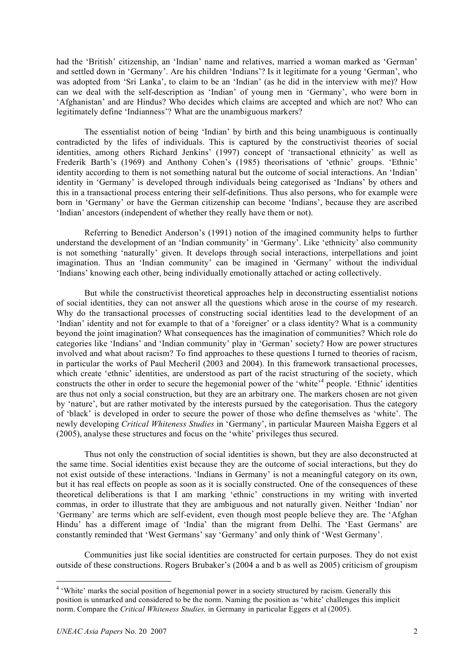had the 'British' citizenship, an 'Indian' name and relatives, married a woman marked as 'German' and settled down in 'Germany'. Are his children 'Indians'? Is it legitimate for a young 'German', who was adopted from 'Sri Lanka', to claim to be an 'Indian' (as he did in the interview with me)? How can we deal with the self-description as 'Indian' of young men in 'Germany', who were born in 'Afghanistan' and are Hindus? Who decides which claims are accepted and which are not? Who can legitimately define 'Indianness'? What are the unambiguous markers?

The essentialist notion of being 'Indian' by birth and this being unambiguous is continually contradicted by the lifes of individuals. This is captured by the constructivist theories of social identities, among others Richard Jenkins' (1997) concept of 'transactional ethnicity' as well as Frederik Barth's (1969) and Anthony Cohen's (1985) theorisations of 'ethnic' groups. 'Ethnic' identity according to them is not something natural but the outcome of social interactions. An 'Indian' identity in 'Germany' is developed through individuals being categorised as 'Indians' by others and this in a transactional process entering their self-definitions. Thus also persons, who for example were born in 'Germany' or have the German citizenship can become 'Indians', because they are ascribed 'Indian' ancestors (independent of whether they really have them or not).

Referring to Benedict Anderson's (1991) notion of the imagined community helps to further understand the development of an 'Indian community' in 'Germany'. Like 'ethnicity' also community is not something 'naturally' given. It develops through social interactions, interpellations and joint imagination. Thus an 'Indian community' can be imagined in 'Germany' without the individual 'Indians' knowing each other, being individually emotionally attached or acting collectively.

But while the constructivist theoretical approaches help in deconstructing essentialist notions of social identities, they can not answer all the questions which arose in the course of my research. Why do the transactional processes of constructing social identities lead to the development of an 'Indian' identity and not for example to that of a 'foreigner' or a class identity? What is a community beyond the joint imagination? What consequences has the imagination of communities? Which role do categories like 'Indians' and 'Indian community' play in 'German' society? How are power structures involved and what about racism? To find approaches to these questions I turned to theories of racism, in particular the works of Paul Mecheril (2003 and 2004). In this framework transactional processes, which create 'ethnic' identities, are understood as part of the racist structuring of the society, which constructs the other in order to secure the hegemonial power of the 'white'<sup>4</sup> people. 'Ethnic' identities are thus not only a social construction, but they are an arbitrary one. The markers chosen are not given by 'nature', but are rather motivated by the interests pursued by the categorisation. Thus the category of 'black' is developed in order to secure the power of those who define themselves as 'white'. The newly developing *Critical Whiteness Studies* in 'Germany', in particular Maureen Maisha Eggers et al (2005), analyse these structures and focus on the 'white' privileges thus secured.

Thus not only the construction of social identities is shown, but they are also deconstructed at the same time. Social identities exist because they are the outcome of social interactions, but they do not exist outside of these interactions. 'Indians in Germany' is not a meaningful category on its own, but it has real effects on people as soon as it is socially constructed. One of the consequences of these theoretical deliberations is that I am marking 'ethnic' constructions in my writing with inverted commas, in order to illustrate that they are ambiguous and not naturally given. Neither 'Indian' nor 'Germany' are terms which are self-evident, even though most people believe they are. The 'Afghan Hindu' has a different image of 'India' than the migrant from Delhi. The 'East Germans' are constantly reminded that 'West Germans' say 'Germany' and only think of 'West Germany'.

Communities just like social identities are constructed for certain purposes. They do not exist outside of these constructions. Rogers Brubaker's (2004 a and b as well as 2005) criticism of groupism

<sup>&</sup>lt;sup>4</sup> 'White' marks the social position of hegemonial power in a society structured by racism. Generally this position is unmarked and considered to be the norm. Naming the position as 'white' challenges this implicit norm. Compare the *Critical Whiteness Studies,* in Germany in particular Eggers et al (2005).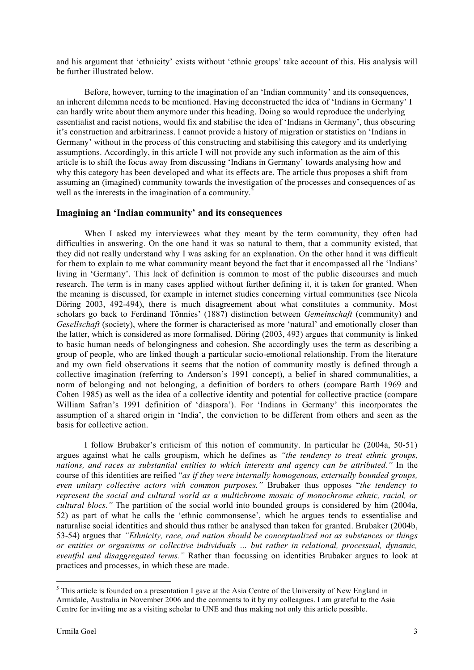and his argument that 'ethnicity' exists without 'ethnic groups' take account of this. His analysis will be further illustrated below.

Before, however, turning to the imagination of an 'Indian community' and its consequences, an inherent dilemma needs to be mentioned. Having deconstructed the idea of 'Indians in Germany' I can hardly write about them anymore under this heading. Doing so would reproduce the underlying essentialist and racist notions, would fix and stabilise the idea of 'Indians in Germany', thus obscuring it's construction and arbitrariness. I cannot provide a history of migration or statistics on 'Indians in Germany' without in the process of this constructing and stabilising this category and its underlying assumptions. Accordingly, in this article I will not provide any such information as the aim of this article is to shift the focus away from discussing 'Indians in Germany' towards analysing how and why this category has been developed and what its effects are. The article thus proposes a shift from assuming an (imagined) community towards the investigation of the processes and consequences of as well as the interests in the imagination of a community.<sup>5</sup>

# **Imagining an 'Indian community' and its consequences**

When I asked my interviewees what they meant by the term community, they often had difficulties in answering. On the one hand it was so natural to them, that a community existed, that they did not really understand why I was asking for an explanation. On the other hand it was difficult for them to explain to me what community meant beyond the fact that it encompassed all the 'Indians' living in 'Germany'. This lack of definition is common to most of the public discourses and much research. The term is in many cases applied without further defining it, it is taken for granted. When the meaning is discussed, for example in internet studies concerning virtual communities (see Nicola Döring 2003, 492-494), there is much disagreement about what constitutes a community. Most scholars go back to Ferdinand Tönnies' (1887) distinction between *Gemeinschaft* (community) and *Gesellschaft* (society), where the former is characterised as more 'natural' and emotionally closer than the latter, which is considered as more formalised. Döring (2003, 493) argues that community is linked to basic human needs of belongingness and cohesion. She accordingly uses the term as describing a group of people, who are linked though a particular socio-emotional relationship. From the literature and my own field observations it seems that the notion of community mostly is defined through a collective imagination (referring to Anderson's 1991 concept), a belief in shared communalities, a norm of belonging and not belonging, a definition of borders to others (compare Barth 1969 and Cohen 1985) as well as the idea of a collective identity and potential for collective practice (compare William Safran's 1991 definition of 'diaspora'). For 'Indians in Germany' this incorporates the assumption of a shared origin in 'India', the conviction to be different from others and seen as the basis for collective action.

I follow Brubaker's criticism of this notion of community. In particular he (2004a, 50-51) argues against what he calls groupism, which he defines as *"the tendency to treat ethnic groups, nations, and races as substantial entities to which interests and agency can be attributed."* In the course of this identities are reified "*as if they were internally homogenous, externally bounded groups, even unitary collective actors with common purposes."* Brubaker thus opposes "*the tendency to represent the social and cultural world as a multichrome mosaic of monochrome ethnic, racial, or cultural blocs."* The partition of the social world into bounded groups is considered by him (2004a, 52) as part of what he calls the 'ethnic commonsense', which he argues tends to essentialise and naturalise social identities and should thus rather be analysed than taken for granted. Brubaker (2004b, 53-54) argues that *"Ethnicity, race, and nation should be conceptualized not as substances or things or entities or organisms or collective individuals … but rather in relational, processual, dynamic, eventful and disaggregated terms."* Rather than focussing on identities Brubaker argues to look at practices and processes, in which these are made.

<sup>&</sup>lt;sup>5</sup> This article is founded on a presentation I gave at the Asia Centre of the University of New England in Armidale, Australia in November 2006 and the comments to it by my colleagues. I am grateful to the Asia Centre for inviting me as a visiting scholar to UNE and thus making not only this article possible.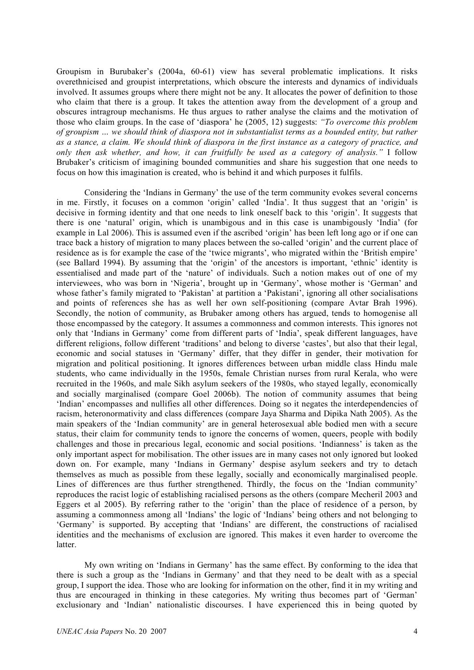Groupism in Burubaker's (2004a, 60-61) view has several problematic implications. It risks overethnicised and groupist interpretations, which obscure the interests and dynamics of individuals involved. It assumes groups where there might not be any. It allocates the power of definition to those who claim that there is a group. It takes the attention away from the development of a group and obscures intragroup mechanisms. He thus argues to rather analyse the claims and the motivation of those who claim groups. In the case of 'diaspora' he (2005, 12) suggests: *"To overcome this problem of groupism … we should think of diaspora not in substantialist terms as a bounded entity, but rather as a stance, a claim. We should think of diaspora in the first instance as a category of practice, and only then ask whether, and how, it can fruitfully be used as a category of analysis."* I follow Brubaker's criticism of imagining bounded communities and share his suggestion that one needs to focus on how this imagination is created, who is behind it and which purposes it fulfils.

Considering the 'Indians in Germany' the use of the term community evokes several concerns in me. Firstly, it focuses on a common 'origin' called 'India'. It thus suggest that an 'origin' is decisive in forming identity and that one needs to link oneself back to this 'origin'. It suggests that there is one 'natural' origin, which is unambigous and in this case is unambigously 'India' (for example in Lal 2006). This is assumed even if the ascribed 'origin' has been left long ago or if one can trace back a history of migration to many places between the so-called 'origin' and the current place of residence as is for example the case of the 'twice migrants', who migrated within the 'British empire' (see Ballard 1994). By assuming that the 'origin' of the ancestors is important, 'ethnic' identity is essentialised and made part of the 'nature' of individuals. Such a notion makes out of one of my interviewees, who was born in 'Nigeria', brought up in 'Germany', whose mother is 'German' and whose father's family migrated to 'Pakistan' at partition a 'Pakistani', ignoring all other socialisations and points of references she has as well her own self-positioning (compare Avtar Brah 1996). Secondly, the notion of community, as Brubaker among others has argued, tends to homogenise all those encompassed by the category. It assumes a commonness and common interests. This ignores not only that 'Indians in Germany' come from different parts of 'India', speak different languages, have different religions, follow different 'traditions' and belong to diverse 'castes', but also that their legal, economic and social statuses in 'Germany' differ, that they differ in gender, their motivation for migration and political positioning. It ignores differences between urban middle class Hindu male students, who came individually in the 1950s, female Christian nurses from rural Kerala, who were recruited in the 1960s, and male Sikh asylum seekers of the 1980s, who stayed legally, economically and socially marginalised (compare Goel 2006b). The notion of community assumes that being 'Indian' encompasses and nullifies all other differences. Doing so it negates the interdependencies of racism, heteronormativity and class differences (compare Jaya Sharma and Dipika Nath 2005). As the main speakers of the 'Indian community' are in general heterosexual able bodied men with a secure status, their claim for community tends to ignore the concerns of women, queers, people with bodily challenges and those in precarious legal, economic and social positions. 'Indianness' is taken as the only important aspect for mobilisation. The other issues are in many cases not only ignored but looked down on. For example, many 'Indians in Germany' despise asylum seekers and try to detach themselves as much as possible from these legally, socially and economically marginalised people. Lines of differences are thus further strengthened. Thirdly, the focus on the 'Indian community' reproduces the racist logic of establishing racialised persons as the others (compare Mecheril 2003 and Eggers et al 2005). By referring rather to the 'origin' than the place of residence of a person, by assuming a commonness among all 'Indians' the logic of 'Indians' being others and not belonging to 'Germany' is supported. By accepting that 'Indians' are different, the constructions of racialised identities and the mechanisms of exclusion are ignored. This makes it even harder to overcome the latter.

My own writing on 'Indians in Germany' has the same effect. By conforming to the idea that there is such a group as the 'Indians in Germany' and that they need to be dealt with as a special group, I support the idea. Those who are looking for information on the other, find it in my writing and thus are encouraged in thinking in these categories. My writing thus becomes part of 'German' exclusionary and 'Indian' nationalistic discourses. I have experienced this in being quoted by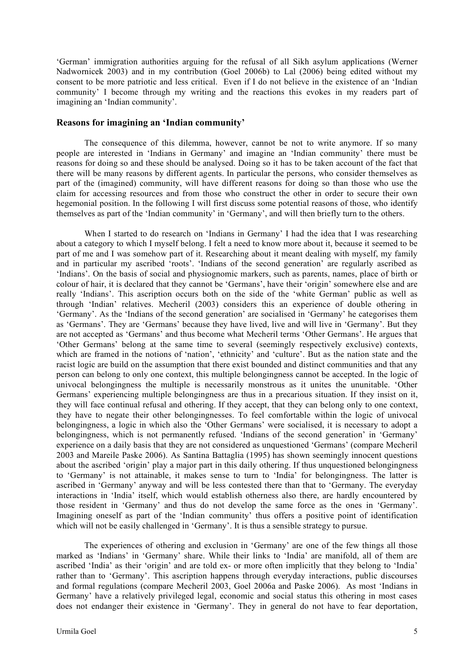'German' immigration authorities arguing for the refusal of all Sikh asylum applications (Werner Nadwornicek 2003) and in my contribution (Goel 2006b) to Lal (2006) being edited without my consent to be more patriotic and less critical. Even if I do not believe in the existence of an 'Indian community' I become through my writing and the reactions this evokes in my readers part of imagining an 'Indian community'.

### **Reasons for imagining an 'Indian community'**

The consequence of this dilemma, however, cannot be not to write anymore. If so many people are interested in 'Indians in Germany' and imagine an 'Indian community' there must be reasons for doing so and these should be analysed. Doing so it has to be taken account of the fact that there will be many reasons by different agents. In particular the persons, who consider themselves as part of the (imagined) community, will have different reasons for doing so than those who use the claim for accessing resources and from those who construct the other in order to secure their own hegemonial position. In the following I will first discuss some potential reasons of those, who identify themselves as part of the 'Indian community' in 'Germany', and will then briefly turn to the others.

When I started to do research on 'Indians in Germany' I had the idea that I was researching about a category to which I myself belong. I felt a need to know more about it, because it seemed to be part of me and I was somehow part of it. Researching about it meant dealing with myself, my family and in particular my ascribed 'roots'. 'Indians of the second generation' are regularly ascribed as 'Indians'. On the basis of social and physiognomic markers, such as parents, names, place of birth or colour of hair, it is declared that they cannot be 'Germans', have their 'origin' somewhere else and are really 'Indians'. This ascription occurs both on the side of the 'white German' public as well as through 'Indian' relatives. Mecheril (2003) considers this an experience of double othering in 'Germany'. As the 'Indians of the second generation' are socialised in 'Germany' he categorises them as 'Germans'. They are 'Germans' because they have lived, live and will live in 'Germany'. But they are not accepted as 'Germans' and thus become what Mecheril terms 'Other Germans'. He argues that 'Other Germans' belong at the same time to several (seemingly respectively exclusive) contexts, which are framed in the notions of 'nation', 'ethnicity' and 'culture'. But as the nation state and the racist logic are build on the assumption that there exist bounded and distinct communities and that any person can belong to only one context, this multiple belongingness cannot be accepted. In the logic of univocal belongingness the multiple is necessarily monstrous as it unites the ununitable. 'Other Germans' experiencing multiple belongingness are thus in a precarious situation. If they insist on it, they will face continual refusal and othering. If they accept, that they can belong only to one context, they have to negate their other belongingnesses. To feel comfortable within the logic of univocal belongingness, a logic in which also the 'Other Germans' were socialised, it is necessary to adopt a belongingness, which is not permanently refused. 'Indians of the second generation' in 'Germany' experience on a daily basis that they are not considered as unquestioned 'Germans' (compare Mecheril 2003 and Mareile Paske 2006). As Santina Battaglia (1995) has shown seemingly innocent questions about the ascribed 'origin' play a major part in this daily othering. If thus unquestioned belongingness to 'Germany' is not attainable, it makes sense to turn to 'India' for belongingness. The latter is ascribed in 'Germany' anyway and will be less contested there than that to 'Germany. The everyday interactions in 'India' itself, which would establish otherness also there, are hardly encountered by those resident in 'Germany' and thus do not develop the same force as the ones in 'Germany'. Imagining oneself as part of the 'Indian community' thus offers a positive point of identification which will not be easily challenged in 'Germany'. It is thus a sensible strategy to pursue.

The experiences of othering and exclusion in 'Germany' are one of the few things all those marked as 'Indians' in 'Germany' share. While their links to 'India' are manifold, all of them are ascribed 'India' as their 'origin' and are told ex- or more often implicitly that they belong to 'India' rather than to 'Germany'. This ascription happens through everyday interactions, public discourses and formal regulations (compare Mecheril 2003, Goel 2006a and Paske 2006). As most 'Indians in Germany' have a relatively privileged legal, economic and social status this othering in most cases does not endanger their existence in 'Germany'. They in general do not have to fear deportation,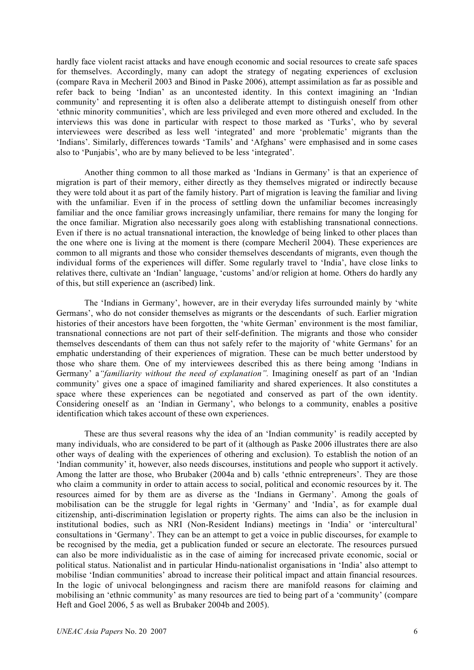hardly face violent racist attacks and have enough economic and social resources to create safe spaces for themselves. Accordingly, many can adopt the strategy of negating experiences of exclusion (compare Rava in Mecheril 2003 and Binod in Paske 2006), attempt assimilation as far as possible and refer back to being 'Indian' as an uncontested identity. In this context imagining an 'Indian community' and representing it is often also a deliberate attempt to distinguish oneself from other 'ethnic minority communities', which are less privileged and even more othered and excluded. In the interviews this was done in particular with respect to those marked as 'Turks', who by several interviewees were described as less well 'integrated' and more 'problematic' migrants than the 'Indians'. Similarly, differences towards 'Tamils' and 'Afghans' were emphasised and in some cases also to 'Punjabis', who are by many believed to be less 'integrated'.

Another thing common to all those marked as 'Indians in Germany' is that an experience of migration is part of their memory, either directly as they themselves migrated or indirectly because they were told about it as part of the family history. Part of migration is leaving the familiar and living with the unfamiliar. Even if in the process of settling down the unfamiliar becomes increasingly familiar and the once familiar grows increasingly unfamiliar, there remains for many the longing for the once familiar. Migration also necessarily goes along with establishing transnational connections. Even if there is no actual transnational interaction, the knowledge of being linked to other places than the one where one is living at the moment is there (compare Mecheril 2004). These experiences are common to all migrants and those who consider themselves descendants of migrants, even though the individual forms of the experiences will differ. Some regularly travel to 'India', have close links to relatives there, cultivate an 'Indian' language, 'customs' and/or religion at home. Others do hardly any of this, but still experience an (ascribed) link.

The 'Indians in Germany', however, are in their everyday lifes surrounded mainly by 'white Germans', who do not consider themselves as migrants or the descendants of such. Earlier migration histories of their ancestors have been forgotten, the 'white German' environment is the most familiar, transnational connections are not part of their self-definition. The migrants and those who consider themselves descendants of them can thus not safely refer to the majority of 'white Germans' for an emphatic understanding of their experiences of migration. These can be much better understood by those who share them. One of my interviewees described this as there being among 'Indians in Germany' a*"familiarity without the need of explanation".* Imagining oneself as part of an 'Indian community' gives one a space of imagined familiarity and shared experiences. It also constitutes a space where these experiences can be negotiated and conserved as part of the own identity. Considering oneself as an 'Indian in Germany', who belongs to a community, enables a positive identification which takes account of these own experiences.

These are thus several reasons why the idea of an 'Indian community' is readily accepted by many individuals, who are considered to be part of it (although as Paske 2006 illustrates there are also other ways of dealing with the experiences of othering and exclusion). To establish the notion of an 'Indian community' it, however, also needs discourses, institutions and people who support it actively. Among the latter are those, who Brubaker (2004a and b) calls 'ethnic entrepreneurs'. They are those who claim a community in order to attain access to social, political and economic resources by it. The resources aimed for by them are as diverse as the 'Indians in Germany'. Among the goals of mobilisation can be the struggle for legal rights in 'Germany' and 'India', as for example dual citizenship, anti-discrimination legislation or property rights. The aims can also be the inclusion in institutional bodies, such as NRI (Non-Resident Indians) meetings in 'India' or 'intercultural' consultations in 'Germany'. They can be an attempt to get a voice in public discourses, for example to be recognised by the media, get a publication funded or secure an electorate. The resources pursued can also be more individualistic as in the case of aiming for increcased private economic, social or political status. Nationalist and in particular Hindu-nationalist organisations in 'India' also attempt to mobilise 'Indian communities' abroad to increase their political impact and attain financial resources. In the logic of univocal belongingness and racism there are manifold reasons for claiming and mobilising an 'ethnic community' as many resources are tied to being part of a 'community' (compare Heft and Goel 2006, 5 as well as Brubaker 2004b and 2005).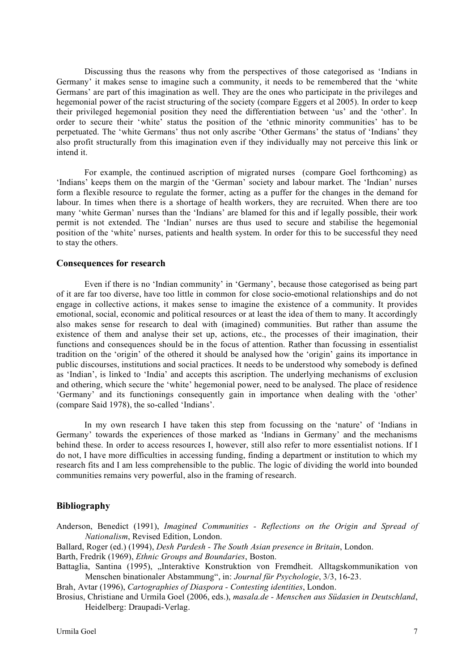Discussing thus the reasons why from the perspectives of those categorised as 'Indians in Germany' it makes sense to imagine such a community, it needs to be remembered that the 'white Germans' are part of this imagination as well. They are the ones who participate in the privileges and hegemonial power of the racist structuring of the society (compare Eggers et al 2005). In order to keep their privileged hegemonial position they need the differentiation between 'us' and the 'other'. In order to secure their 'white' status the position of the 'ethnic minority communities' has to be perpetuated. The 'white Germans' thus not only ascribe 'Other Germans' the status of 'Indians' they also profit structurally from this imagination even if they individually may not perceive this link or intend it.

For example, the continued ascription of migrated nurses (compare Goel forthcoming) as 'Indians' keeps them on the margin of the 'German' society and labour market. The 'Indian' nurses form a flexible resource to regulate the former, acting as a puffer for the changes in the demand for labour. In times when there is a shortage of health workers, they are recruited. When there are too many 'white German' nurses than the 'Indians' are blamed for this and if legally possible, their work permit is not extended. The 'Indian' nurses are thus used to secure and stabilise the hegemonial position of the 'white' nurses, patients and health system. In order for this to be successful they need to stay the others.

#### **Consequences for research**

Even if there is no 'Indian community' in 'Germany', because those categorised as being part of it are far too diverse, have too little in common for close socio-emotional relationships and do not engage in collective actions, it makes sense to imagine the existence of a community. It provides emotional, social, economic and political resources or at least the idea of them to many. It accordingly also makes sense for research to deal with (imagined) communities. But rather than assume the existence of them and analyse their set up, actions, etc., the processes of their imagination, their functions and consequences should be in the focus of attention. Rather than focussing in essentialist tradition on the 'origin' of the othered it should be analysed how the 'origin' gains its importance in public discourses, institutions and social practices. It needs to be understood why somebody is defined as 'Indian', is linked to 'India' and accepts this ascription. The underlying mechanisms of exclusion and othering, which secure the 'white' hegemonial power, need to be analysed. The place of residence 'Germany' and its functionings consequently gain in importance when dealing with the 'other' (compare Said 1978), the so-called 'Indians'.

In my own research I have taken this step from focussing on the 'nature' of 'Indians in Germany' towards the experiences of those marked as 'Indians in Germany' and the mechanisms behind these. In order to access resources I, however, still also refer to more essentialist notions. If I do not, I have more difficulties in accessing funding, finding a department or institution to which my research fits and I am less comprehensible to the public. The logic of dividing the world into bounded communities remains very powerful, also in the framing of research.

### **Bibliography**

- Anderson, Benedict (1991), *Imagined Communities - Reflections on the Origin and Spread of Nationalism*, Revised Edition, London.
- Ballard, Roger (ed.) (1994), *Desh Pardesh - The South Asian presence in Britain*, London.
- Barth, Fredrik (1969), *Ethnic Groups and Boundaries*, Boston.
- Battaglia, Santina (1995), "Interaktive Konstruktion von Fremdheit. Alltagskommunikation von Menschen binationaler Abstammung", in: *Journal für Psychologie*, 3/3, 16-23.
- Brah, Avtar (1996), *Cartographies of Diaspora - Contesting identities*, London.
- Brosius, Christiane and Urmila Goel (2006, eds.), *masala.de - Menschen aus Südasien in Deutschland*, Heidelberg: Draupadi-Verlag.